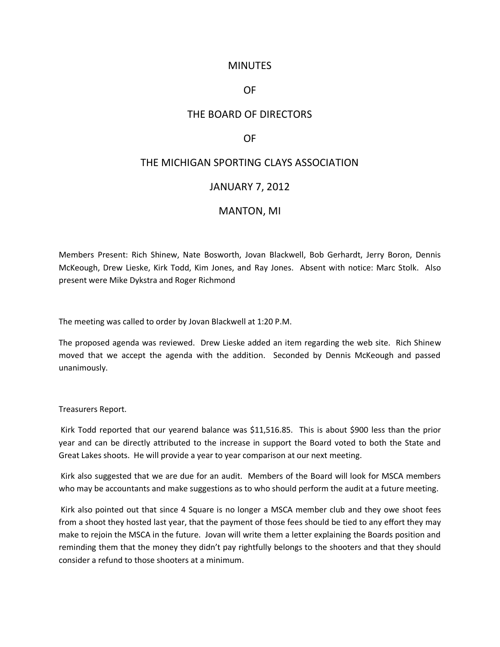## **MINUTES**

## OF

# THE BOARD OF DIRECTORS

## OF

## THE MICHIGAN SPORTING CLAYS ASSOCIATION

#### JANUARY 7, 2012

## MANTON, MI

Members Present: Rich Shinew, Nate Bosworth, Jovan Blackwell, Bob Gerhardt, Jerry Boron, Dennis McKeough, Drew Lieske, Kirk Todd, Kim Jones, and Ray Jones. Absent with notice: Marc Stolk. Also present were Mike Dykstra and Roger Richmond

The meeting was called to order by Jovan Blackwell at 1:20 P.M.

The proposed agenda was reviewed. Drew Lieske added an item regarding the web site. Rich Shinew moved that we accept the agenda with the addition. Seconded by Dennis McKeough and passed unanimously.

Treasurers Report.

Kirk Todd reported that our yearend balance was \$11,516.85. This is about \$900 less than the prior year and can be directly attributed to the increase in support the Board voted to both the State and Great Lakes shoots. He will provide a year to year comparison at our next meeting.

Kirk also suggested that we are due for an audit. Members of the Board will look for MSCA members who may be accountants and make suggestions as to who should perform the audit at a future meeting.

Kirk also pointed out that since 4 Square is no longer a MSCA member club and they owe shoot fees from a shoot they hosted last year, that the payment of those fees should be tied to any effort they may make to rejoin the MSCA in the future. Jovan will write them a letter explaining the Boards position and reminding them that the money they didn't pay rightfully belongs to the shooters and that they should consider a refund to those shooters at a minimum.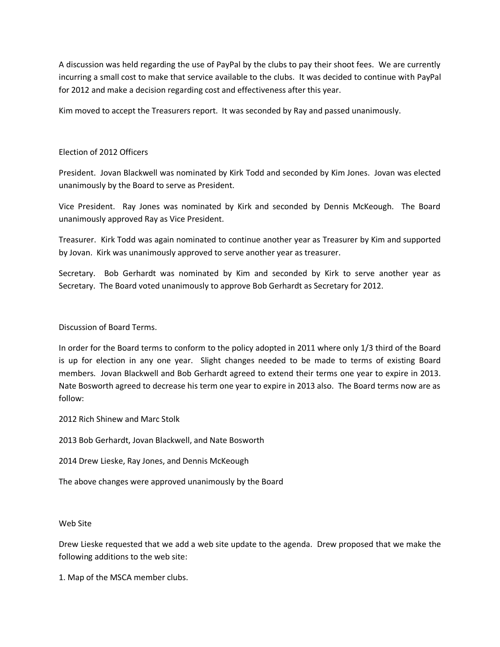A discussion was held regarding the use of PayPal by the clubs to pay their shoot fees. We are currently incurring a small cost to make that service available to the clubs. It was decided to continue with PayPal for 2012 and make a decision regarding cost and effectiveness after this year.

Kim moved to accept the Treasurers report. It was seconded by Ray and passed unanimously.

## Election of 2012 Officers

President. Jovan Blackwell was nominated by Kirk Todd and seconded by Kim Jones. Jovan was elected unanimously by the Board to serve as President.

Vice President. Ray Jones was nominated by Kirk and seconded by Dennis McKeough. The Board unanimously approved Ray as Vice President.

Treasurer. Kirk Todd was again nominated to continue another year as Treasurer by Kim and supported by Jovan. Kirk was unanimously approved to serve another year as treasurer.

Secretary. Bob Gerhardt was nominated by Kim and seconded by Kirk to serve another year as Secretary. The Board voted unanimously to approve Bob Gerhardt as Secretary for 2012.

## Discussion of Board Terms.

In order for the Board terms to conform to the policy adopted in 2011 where only 1/3 third of the Board is up for election in any one year. Slight changes needed to be made to terms of existing Board members. Jovan Blackwell and Bob Gerhardt agreed to extend their terms one year to expire in 2013. Nate Bosworth agreed to decrease his term one year to expire in 2013 also. The Board terms now are as follow:

2012 Rich Shinew and Marc Stolk

2013 Bob Gerhardt, Jovan Blackwell, and Nate Bosworth

2014 Drew Lieske, Ray Jones, and Dennis McKeough

The above changes were approved unanimously by the Board

## Web Site

Drew Lieske requested that we add a web site update to the agenda. Drew proposed that we make the following additions to the web site:

1. Map of the MSCA member clubs.